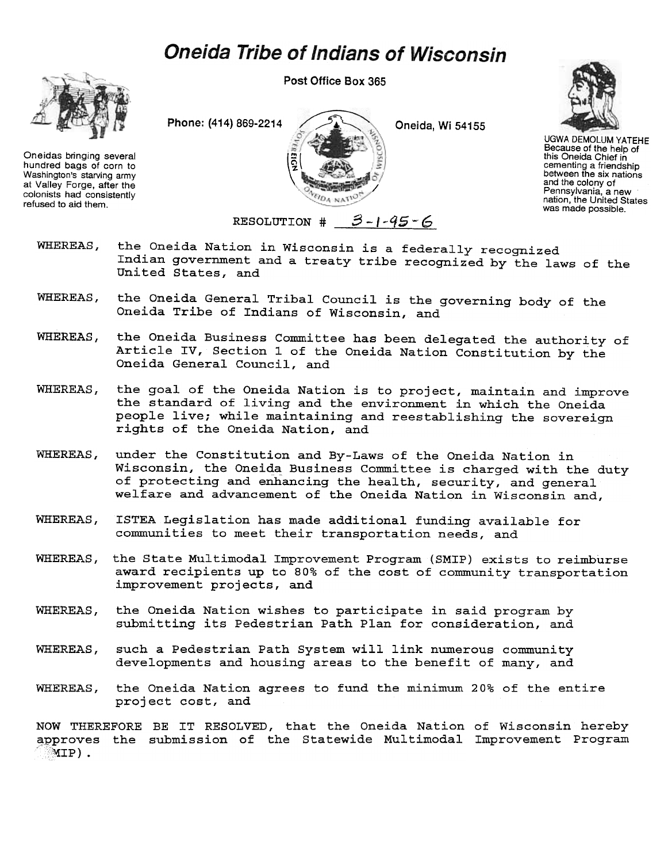## **Oneida Tribe of Indians of Wisconsin**



Oneidas bringing several hundred bags of corn to Washington's starving army at Valley Forge, after the colonists had consistently refused to aid them.

Post Office Box 365





UGWA DEMOLUM YATEHE Because of the help of this Oneida Chief in cementing a friendship between the six nations and the colony of Pennsylvania, a new nation, the United States was made possible.

RESOLUTION  $\sharp$  3-1-45-6

- the Oneida Nation in Wisconsin is a federally recognized WHEREAS. Indian government and a treaty tribe recognized by the laws of the United States, and
- WHEREAS, the Oneida General Tribal Council is the governing body of the Oneida Tribe of Indians of Wisconsin, and
- WHEREAS, the Oneida Business Committee has been delegated the authority of Article IV, Section 1 of the Oneida Nation Constitution by the Oneida General Council, and
- the goal of the Oneida Nation is to project, maintain and improve WHEREAS. the standard of living and the environment in which the Oneida people live; while maintaining and reestablishing the sovereign rights of the Oneida Nation, and
- **WHEREAS.** under the Constitution and By-Laws of the Oneida Nation in Wisconsin, the Oneida Business Committee is charged with the duty of protecting and enhancing the health, security, and general welfare and advancement of the Oneida Nation in Wisconsin and,
- WHEREAS, ISTEA Legislation has made additional funding available for communities to meet their transportation needs, and
- WHEREAS, the State Multimodal Improvement Program (SMIP) exists to reimburse award recipients up to 80% of the cost of community transportation improvement projects, and
- WHEREAS, the Oneida Nation wishes to participate in said program by submitting its Pedestrian Path Plan for consideration, and
- WHEREAS, such a Pedestrian Path System will link numerous community developments and housing areas to the benefit of many, and
- the Oneida Nation agrees to fund the minimum 20% of the entire project cost, and WHEREAS,

NOW THEREFORE BE IT RESOLVED, that the Oneida Nation of Wisconsin herel approves the submission of the Statewide Multimodal Improvement Program $MTP$ ).